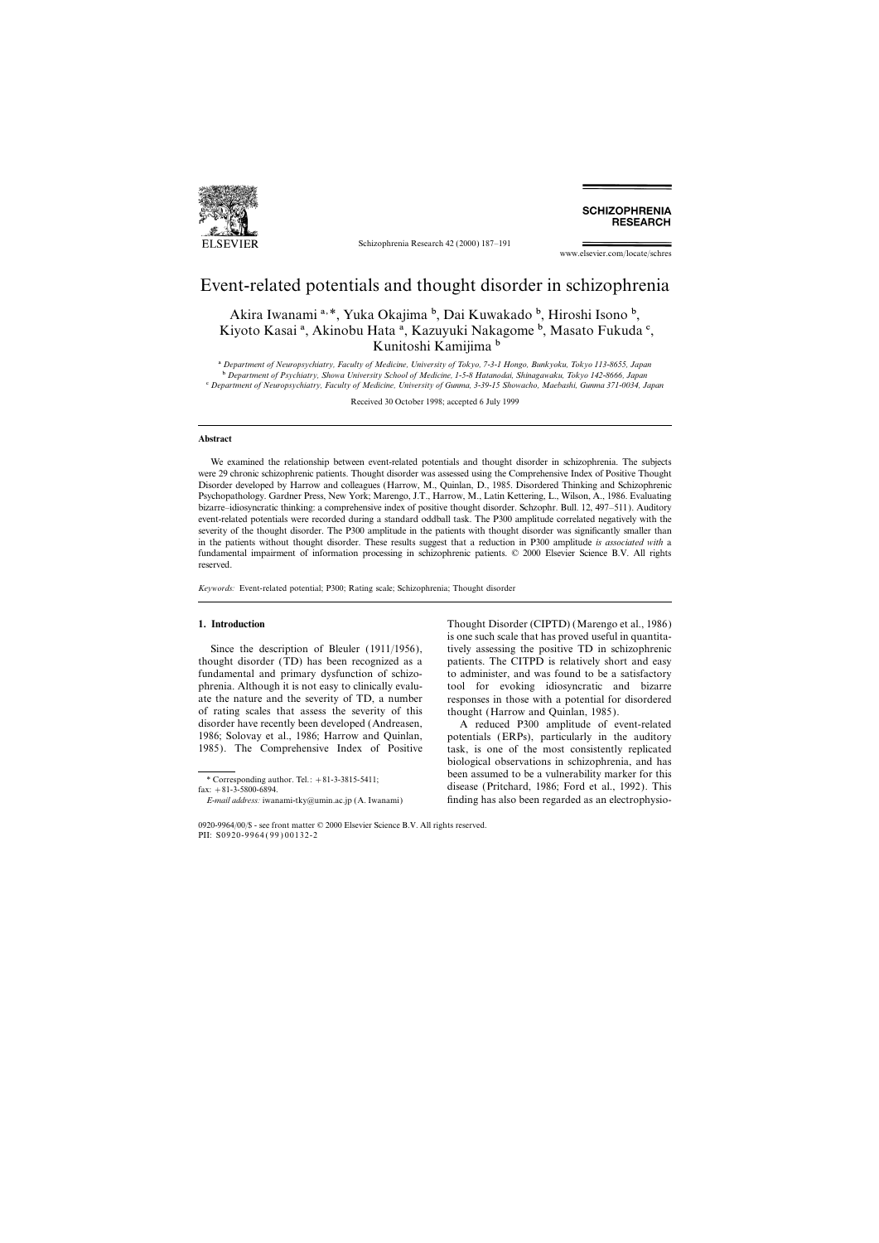

Schizophrenia Research 42 (2000) 187–191

**SCHIZOPHRENIA RESEARCH** 

www.elsevier.com/locate/schres

## Event-related potentials and thought disorder in schizophrenia

Akira Iwanami<sup>a, \*</sup>, Yuka Okajima <sup>b</sup>, Dai Kuwakado <sup>b</sup>, Hiroshi Isono <sup>b</sup>, Kiyoto Kasai<sup>a</sup>, Akinobu Hata<sup>a</sup>, Kazuyuki Nakagome<sup>b</sup>, Masato Fukuda<sup>c</sup>, Kunitoshi Kamijima b

a *Department of Neuropsychiatry, Faculty of Medicine, University of Tokyo, 7-3-1 Hongo, Bunkyoku, Tokyo 113-8655, Japan* b *Department of Psychiatry, Showa University School of Medicine, 1-5-8 Hatanodai, Shinagawaku, Tokyo 142-8666, Japan* c *Department of Neuropsychiatry, Faculty of Medicine, University of Gunma, 3-39-15 Showacho, Maebashi, Gunma 371-0034, Japan*

Received 30 October 1998; accepted 6 July 1999

### **Abstract**

We examined the relationship between event-related potentials and thought disorder in schizophrenia. The subjects were 29 chronic schizophrenic patients. Thought disorder was assessed using the Comprehensive Index of Positive Thought Disorder developed by Harrow and colleagues (Harrow, M., Quinlan, D., 1985. Disordered Thinking and Schizophrenic Psychopathology. Gardner Press, New York; Marengo, J.T., Harrow, M., Latin Kettering, L., Wilson, A., 1986. Evaluating bizarre–idiosyncratic thinking: a comprehensive index of positive thought disorder. Schzophr. Bull. 12, 497–511). Auditory event-related potentials were recorded during a standard oddball task. The P300 amplitude correlated negatively with the severity of the thought disorder. The P300 amplitude in the patients with thought disorder was significantly smaller than in the patients without thought disorder. These results suggest that a reduction in P300 amplitude *is associated with* a fundamental impairment of information processing in schizophrenic patients. © 2000 Elsevier Science B.V. All rights reserved.

*Keywords:* Event-related potential; P300; Rating scale; Schizophrenia; Thought disorder

thought disorder (TD) has been recognized as a patients. The CITPD is relatively short and easy fundamental and primary dysfunction of schizo- to administer, and was found to be a satisfactory phrenia. Although it is not easy to clinically evalu- tool for evoking idiosyncratic and bizarre ate the nature and the severity of TD, a number responses in those with a potential for disordered of rating scales that assess the severity of this thought (Harrow and Quinlan, 1985). disorder have recently been developed (Andreasen, A reduced P300 amplitude of event-related 1986; Solovay et al., 1986; Harrow and Quinlan, potentials (ERPs), particularly in the auditory 1985). The Comprehensive Index of Positive task, is one of the most consistently replicated

**1. Introduction** Thought Disorder (CIPTD) (Marengo et al., 1986) is one such scale that has proved useful in quantita-Since the description of Bleuler (1911/1956), tively assessing the positive TD in schizophrenic

biological observations in schizophrenia, and has \* Corresponding author. Tel.: +81-3-3815-5411; been assumed to be a vulnerability marker for this disease (Pritchard, 1986; Ford et al., 1992). This disease (Pritchard, 1986; Ford et al., 1992). This *E-mail address:* iwanami-tky@umin.ac.jp (A. Iwanami) finding has also been regarded as an electrophysio-

<sup>0920-9964</sup>/00/\$ - see front matter © 2000 Elsevier Science B.V. All rights reserved. PII: S0920-9964(99)00132-2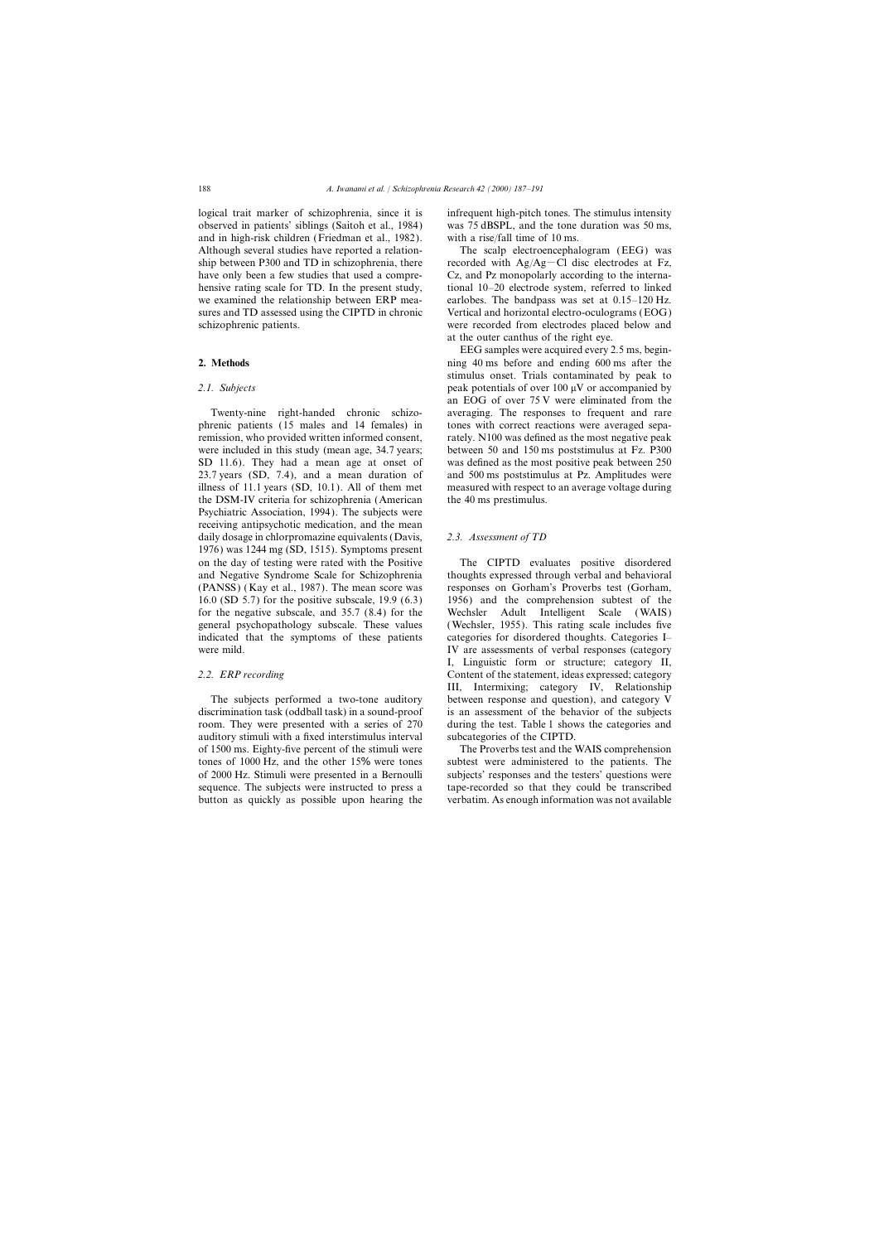observed in patients' siblings (Saitoh et al., 1984) was 75 dBSPL, and the tone duration was 50 ms, and in high-risk children (Friedman et al., 1982). with a rise/fall time of 10 ms. Although several studies have reported a relation- The scalp electroencephalogram (EEG) was

phrenic patients (15 males and 14 females) in tones with correct reactions were averaged separemission, who provided written informed consent, rately. N100 was defined as the most negative peak were included in this study (mean age, 34.7 years; between 50 and 150 ms poststimulus at Fz. P300 SD 11.6). They had a mean age at onset of was defined as the most positive peak between 250 23.7 years (SD, 7.4), and a mean duration of and 500 ms poststimulus at Pz. Amplitudes were illness of 11.1 years (SD, 10.1). All of them met measured with respect to an average voltage during the DSM-IV criteria for schizophrenia (American the 40 ms prestimulus. Psychiatric Association, 1994). The subjects were receiving antipsychotic medication, and the mean daily dosage in chlorpromazine equivalents (Davis, *2.3. Assessment of TD* 1976) was 1244 mg (SD, 1515). Symptoms present on the day of testing were rated with the Positive The CIPTD evaluates positive disordered and Negative Syndrome Scale for Schizophrenia thoughts expressed through verbal and behavioral (PANSS) ( Kay et al., 1987). The mean score was responses on Gorham's Proverbs test (Gorham, 16.0 (SD 5.7) for the positive subscale, 19.9 (6.3) 1956) and the comprehension subtest of the for the negative subscale, and 35.7 (8.4) for the Wechsler Adult Intelligent Scale ( WAIS) general psychopathology subscale. These values ( Wechsler, 1955). This rating scale includes five indicated that the symptoms of these patients categories for disordered thoughts. Categories I– were mild. **IV** are assessments of verbal responses (category

discrimination task (oddball task) in a sound-proof is an assessment of the behavior of the subjects room. They were presented with a series of 270 during the test. Table 1 shows the categories and auditory stimuli with a fixed interstimulus interval subcategories of the CIPTD. of 1500 ms. Eighty-five percent of the stimuli were The Proverbs test and the WAIS comprehension

logical trait marker of schizophrenia, since it is infrequent high-pitch tones. The stimulus intensity

ship between P300 and TD in schizophrenia, there recorded with  $Ag/Ag-Cl$  disc electrodes at Fz, have only been a few studies that used a compre- Cz, and Pz monopolarly according to the internahensive rating scale for TD. In the present study, tional 10–20 electrode system, referred to linked we examined the relationship between ERP mea- earlobes. The bandpass was set at 0.15–120 Hz. sures and TD assessed using the CIPTD in chronic Vertical and horizontal electro-oculograms (EOG) schizophrenic patients. were recorded from electrodes placed below and at the outer canthus of the right eye.

EEG samples were acquired every 2.5 ms, begin-**2. Methods 1. Methods ning 40 ms** before and ending 600 ms after the stimulus onset. Trials contaminated by peak to 2.1. Subjects **peak potentials of over 100 μV** or accompanied by an EOG of over 75 V were eliminated from the Twenty-nine right-handed chronic schizo- averaging. The responses to frequent and rare

I, Linguistic form or structure; category II, *2.2. ERP recording* Content of the statement, ideas expressed; category III, Intermixing; category IV, Relationship The subjects performed a two-tone auditory between response and question), and category V

tones of 1000 Hz, and the other 15% were tones subtest were administered to the patients. The of 2000 Hz. Stimuli were presented in a Bernoulli subjects' responses and the testers' questions were sequence. The subjects were instructed to press a tape-recorded so that they could be transcribed button as quickly as possible upon hearing the verbatim. As enough information was not available